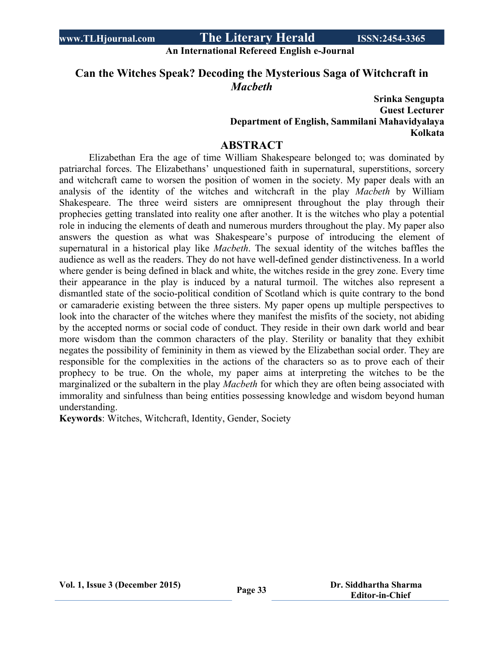#### **An International Refereed English e-Journal**

## **Can the Witches Speak? Decoding the Mysterious Saga of Witchcraft in** *Macbeth*

### **Srinka Sengupta Guest Lecturer Department of English, Sammilani Mahavidyalaya Kolkata**

### **ABSTRACT**

Elizabethan Era the age of time William Shakespeare belonged to; was dominated by patriarchal forces. The Elizabethans' unquestioned faith in supernatural, superstitions, sorcery and witchcraft came to worsen the position of women in the society. My paper deals with an analysis of the identity of the witches and witchcraft in the play *Macbeth* by William Shakespeare. The three weird sisters are omnipresent throughout the play through their prophecies getting translated into reality one after another. It is the witches who play a potential role in inducing the elements of death and numerous murders throughout the play. My paper also answers the question as what was Shakespeare's purpose of introducing the element of supernatural in a historical play like *Macbeth*. The sexual identity of the witches baffles the audience as well as the readers. They do not have well-defined gender distinctiveness. In a world where gender is being defined in black and white, the witches reside in the grey zone. Every time their appearance in the play is induced by a natural turmoil. The witches also represent a dismantled state of the socio-political condition of Scotland which is quite contrary to the bond or camaraderie existing between the three sisters. My paper opens up multiple perspectives to look into the character of the witches where they manifest the misfits of the society, not abiding by the accepted norms or social code of conduct. They reside in their own dark world and bear more wisdom than the common characters of the play. Sterility or banality that they exhibit negates the possibility of femininity in them as viewed by the Elizabethan social order. They are responsible for the complexities in the actions of the characters so as to prove each of their prophecy to be true. On the whole, my paper aims at interpreting the witches to be the marginalized or the subaltern in the play *Macbeth* for which they are often being associated with immorality and sinfulness than being entities possessing knowledge and wisdom beyond human understanding.

**Keywords**: Witches, Witchcraft, Identity, Gender, Society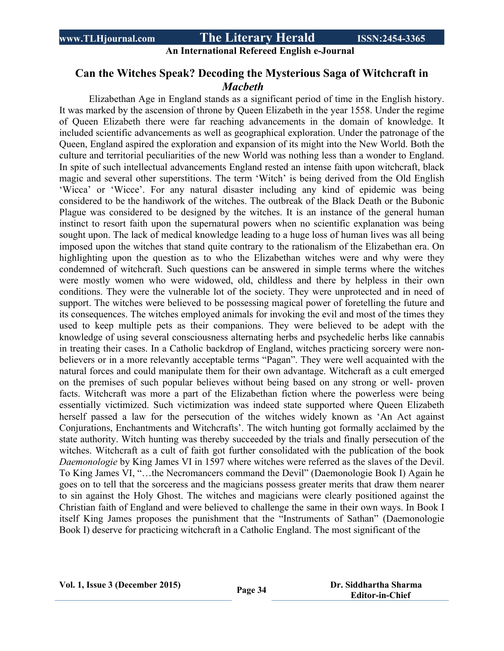**An International Refereed English e-Journal**

## **Can the Witches Speak? Decoding the Mysterious Saga of Witchcraft in** *Macbeth*

Elizabethan Age in England stands as a significant period of time in the English history. It was marked by the ascension of throne by Queen Elizabeth in the year 1558. Under the regime of Queen Elizabeth there were far reaching advancements in the domain of knowledge. It included scientific advancements as well as geographical exploration. Under the patronage of the Queen, England aspired the exploration and expansion of its might into the New World. Both the culture and territorial peculiarities of the new World was nothing less than a wonder to England. In spite of such intellectual advancements England rested an intense faith upon witchcraft, black magic and several other superstitions. The term 'Witch' is being derived from the Old English 'Wicca' or 'Wicce'. For any natural disaster including any kind of epidemic was being considered to be the handiwork of the witches. The outbreak of the Black Death or the Bubonic Plague was considered to be designed by the witches. It is an instance of the general human instinct to resort faith upon the supernatural powers when no scientific explanation was being sought upon. The lack of medical knowledge leading to a huge loss of human lives was all being imposed upon the witches that stand quite contrary to the rationalism of the Elizabethan era. On highlighting upon the question as to who the Elizabethan witches were and why were they condemned of witchcraft. Such questions can be answered in simple terms where the witches were mostly women who were widowed, old, childless and there by helpless in their own conditions. They were the vulnerable lot of the society. They were unprotected and in need of support. The witches were believed to be possessing magical power of foretelling the future and its consequences. The witches employed animals for invoking the evil and most of the times they used to keep multiple pets as their companions. They were believed to be adept with the knowledge of using several consciousness alternating herbs and psychedelic herbs like cannabis in treating their cases. In a Catholic backdrop of England, witches practicing sorcery were nonbelievers or in a more relevantly acceptable terms "Pagan". They were well acquainted with the natural forces and could manipulate them for their own advantage. Witchcraft as a cult emerged on the premises of such popular believes without being based on any strong or well- proven facts. Witchcraft was more a part of the Elizabethan fiction where the powerless were being essentially victimized. Such victimization was indeed state supported where Queen Elizabeth herself passed a law for the persecution of the witches widely known as 'An Act against Conjurations, Enchantments and Witchcrafts'. The witch hunting got formally acclaimed by the state authority. Witch hunting was thereby succeeded by the trials and finally persecution of the witches. Witchcraft as a cult of faith got further consolidated with the publication of the book *Daemonologie* by King James VI in 1597 where witches were referred as the slaves of the Devil. To King James VI, "…the Necromancers command the Devil" (Daemonologie Book I) Again he goes on to tell that the sorceress and the magicians possess greater merits that draw them nearer to sin against the Holy Ghost. The witches and magicians were clearly positioned against the Christian faith of England and were believed to challenge the same in their own ways. In Book I itself King James proposes the punishment that the "Instruments of Sathan" (Daemonologie Book I) deserve for practicing witchcraft in a Catholic England. The most significant of the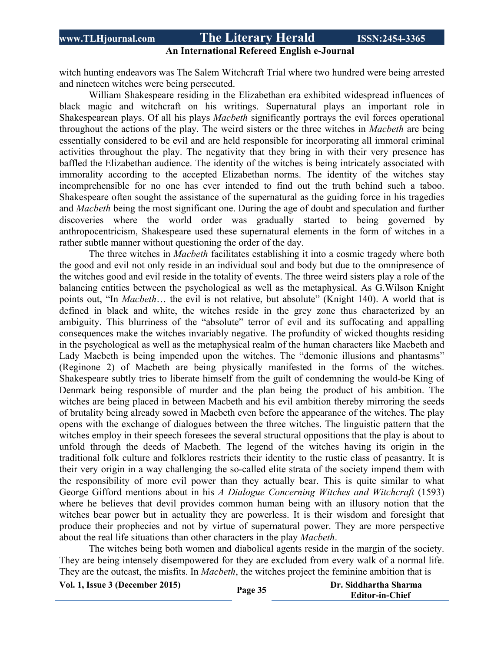### **An International Refereed English e-Journal**

witch hunting endeavors was The Salem Witchcraft Trial where two hundred were being arrested and nineteen witches were being persecuted.

William Shakespeare residing in the Elizabethan era exhibited widespread influences of black magic and witchcraft on his writings. Supernatural plays an important role in Shakespearean plays. Of all his plays *Macbeth* significantly portrays the evil forces operational throughout the actions of the play. The weird sisters or the three witches in *Macbeth* are being essentially considered to be evil and are held responsible for incorporating all immoral criminal activities throughout the play. The negativity that they bring in with their very presence has baffled the Elizabethan audience. The identity of the witches is being intricately associated with immorality according to the accepted Elizabethan norms. The identity of the witches stay incomprehensible for no one has ever intended to find out the truth behind such a taboo. Shakespeare often sought the assistance of the supernatural as the guiding force in his tragedies and *Macbeth* being the most significant one. During the age of doubt and speculation and further discoveries where the world order was gradually started to being governed by anthropocentricism, Shakespeare used these supernatural elements in the form of witches in a rather subtle manner without questioning the order of the day.

The three witches in *Macbeth* facilitates establishing it into a cosmic tragedy where both the good and evil not only reside in an individual soul and body but due to the omnipresence of the witches good and evil reside in the totality of events. The three weird sisters play a role of the balancing entities between the psychological as well as the metaphysical. As G.Wilson Knight points out, "In *Macbeth*… the evil is not relative, but absolute" (Knight 140). A world that is defined in black and white, the witches reside in the grey zone thus characterized by an ambiguity. This blurriness of the "absolute" terror of evil and its suffocating and appalling consequences make the witches invariably negative. The profundity of wicked thoughts residing in the psychological as well as the metaphysical realm of the human characters like Macbeth and Lady Macbeth is being impended upon the witches. The "demonic illusions and phantasms" (Reginone 2) of Macbeth are being physically manifested in the forms of the witches. Shakespeare subtly tries to liberate himself from the guilt of condemning the would-be King of Denmark being responsible of murder and the plan being the product of his ambition. The witches are being placed in between Macbeth and his evil ambition thereby mirroring the seeds of brutality being already sowed in Macbeth even before the appearance of the witches. The play opens with the exchange of dialogues between the three witches. The linguistic pattern that the witches employ in their speech foresees the several structural oppositions that the play is about to unfold through the deeds of Macbeth. The legend of the witches having its origin in the traditional folk culture and folklores restricts their identity to the rustic class of peasantry. It is their very origin in a way challenging the so-called elite strata of the society impend them with the responsibility of more evil power than they actually bear. This is quite similar to what George Gifford mentions about in his *A Dialogue Concerning Witches and Witchcraft* (1593) where he believes that devil provides common human being with an illusory notion that the witches bear power but in actuality they are powerless. It is their wisdom and foresight that produce their prophecies and not by virtue of supernatural power. They are more perspective about the real life situations than other characters in the play *Macbeth*.

The witches being both women and diabolical agents reside in the margin of the society. They are being intensely disempowered for they are excluded from every walk of a normal life. They are the outcast, the misfits. In *Macbeth*, the witches project the feminine ambition that is

**Vol. 1, Issue <sup>3</sup> (December 2015) Page <sup>35</sup> Dr. Siddhartha Sharma**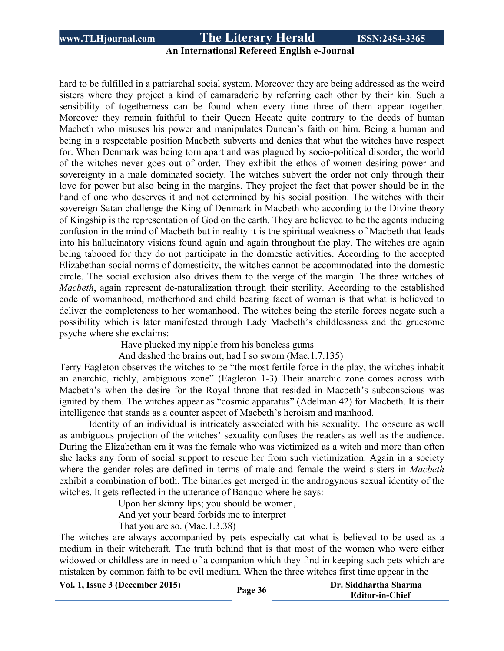## **An International Refereed English e-Journal**

hard to be fulfilled in a patriarchal social system. Moreover they are being addressed as the weird sisters where they project a kind of camaraderie by referring each other by their kin. Such a sensibility of togetherness can be found when every time three of them appear together. Moreover they remain faithful to their Queen Hecate quite contrary to the deeds of human Macbeth who misuses his power and manipulates Duncan's faith on him. Being a human and being in a respectable position Macbeth subverts and denies that what the witches have respect for. When Denmark was being torn apart and was plagued by socio-political disorder, the world of the witches never goes out of order. They exhibit the ethos of women desiring power and sovereignty in a male dominated society. The witches subvert the order not only through their love for power but also being in the margins. They project the fact that power should be in the hand of one who deserves it and not determined by his social position. The witches with their sovereign Satan challenge the King of Denmark in Macbeth who according to the Divine theory of Kingship is the representation of God on the earth. They are believed to be the agents inducing confusion in the mind of Macbeth but in reality it is the spiritual weakness of Macbeth that leads into his hallucinatory visions found again and again throughout the play. The witches are again being tabooed for they do not participate in the domestic activities. According to the accepted Elizabethan social norms of domesticity, the witches cannot be accommodated into the domestic circle. The social exclusion also drives them to the verge of the margin. The three witches of *Macbeth*, again represent de-naturalization through their sterility. According to the established code of womanhood, motherhood and child bearing facet of woman is that what is believed to deliver the completeness to her womanhood. The witches being the sterile forces negate such a possibility which is later manifested through Lady Macbeth's childlessness and the gruesome psyche where she exclaims:

Have plucked my nipple from his boneless gums

And dashed the brains out, had I so sworn (Mac.1.7.135)

Terry Eagleton observes the witches to be "the most fertile force in the play, the witches inhabit an anarchic, richly, ambiguous zone" (Eagleton 1-3) Their anarchic zone comes across with Macbeth's when the desire for the Royal throne that resided in Macbeth's subconscious was ignited by them. The witches appear as "cosmic apparatus" (Adelman 42) for Macbeth. It is their intelligence that stands as a counter aspect of Macbeth's heroism and manhood.

Identity of an individual is intricately associated with his sexuality. The obscure as well as ambiguous projection of the witches' sexuality confuses the readers as well as the audience. During the Elizabethan era it was the female who was victimized as a witch and more than often she lacks any form of social support to rescue her from such victimization. Again in a society where the gender roles are defined in terms of male and female the weird sisters in *Macbeth* exhibit a combination of both. The binaries get merged in the androgynous sexual identity of the witches. It gets reflected in the utterance of Banquo where he says:

Upon her skinny lips; you should be women,

And yet your beard forbids me to interpret

That you are so. (Mac.1.3.38)

The witches are always accompanied by pets especially cat what is believed to be used as a medium in their witchcraft. The truth behind that is that most of the women who were either widowed or childless are in need of a companion which they find in keeping such pets which are mistaken by common faith to be evil medium. When the three witches first time appear in the

**Vol. 1, Issue <sup>3</sup> (December 2015) Page <sup>36</sup> Dr. Siddhartha Sharma**

**Editor-in-Chief**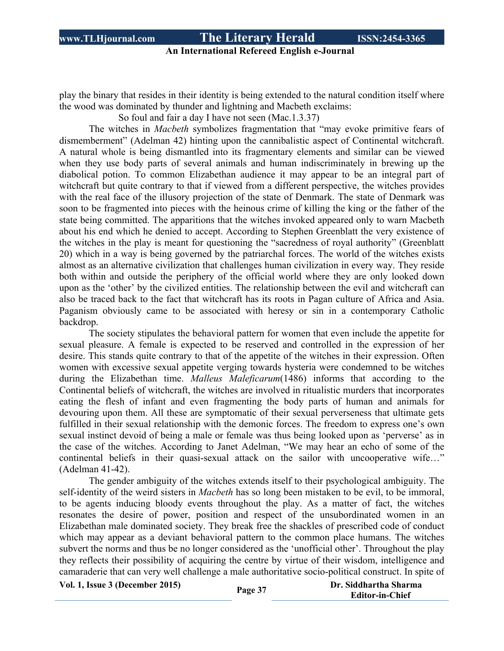## **An International Refereed English e-Journal**

play the binary that resides in their identity is being extended to the natural condition itself where the wood was dominated by thunder and lightning and Macbeth exclaims:

So foul and fair a day I have not seen (Mac.1.3.37)

The witches in *Macbeth* symbolizes fragmentation that "may evoke primitive fears of dismemberment" (Adelman 42) hinting upon the cannibalistic aspect of Continental witchcraft. A natural whole is being dismantled into its fragmentary elements and similar can be viewed when they use body parts of several animals and human indiscriminately in brewing up the diabolical potion. To common Elizabethan audience it may appear to be an integral part of witchcraft but quite contrary to that if viewed from a different perspective, the witches provides with the real face of the illusory projection of the state of Denmark. The state of Denmark was soon to be fragmented into pieces with the heinous crime of killing the king or the father of the state being committed. The apparitions that the witches invoked appeared only to warn Macbeth about his end which he denied to accept. According to Stephen Greenblatt the very existence of the witches in the play is meant for questioning the "sacredness of royal authority" (Greenblatt 20) which in a way is being governed by the patriarchal forces. The world of the witches exists almost as an alternative civilization that challenges human civilization in every way. They reside both within and outside the periphery of the official world where they are only looked down upon as the 'other' by the civilized entities. The relationship between the evil and witchcraft can also be traced back to the fact that witchcraft has its roots in Pagan culture of Africa and Asia. Paganism obviously came to be associated with heresy or sin in a contemporary Catholic backdrop.

The society stipulates the behavioral pattern for women that even include the appetite for sexual pleasure. A female is expected to be reserved and controlled in the expression of her desire. This stands quite contrary to that of the appetite of the witches in their expression. Often women with excessive sexual appetite verging towards hysteria were condemned to be witches during the Elizabethan time. *Malleus Maleficarum*(1486) informs that according to the Continental beliefs of witchcraft, the witches are involved in ritualistic murders that incorporates eating the flesh of infant and even fragmenting the body parts of human and animals for devouring upon them. All these are symptomatic of their sexual perverseness that ultimate gets fulfilled in their sexual relationship with the demonic forces. The freedom to express one's own sexual instinct devoid of being a male or female was thus being looked upon as 'perverse' as in the case of the witches. According to Janet Adelman, "We may hear an echo of some of the continental beliefs in their quasi-sexual attack on the sailor with uncooperative wife…" (Adelman 41-42).

The gender ambiguity of the witches extends itself to their psychological ambiguity. The self-identity of the weird sisters in *Macbeth* has so long been mistaken to be evil, to be immoral, to be agents inducing bloody events throughout the play. As a matter of fact, the witches resonates the desire of power, position and respect of the unsubordinated women in an Elizabethan male dominated society. They break free the shackles of prescribed code of conduct which may appear as a deviant behavioral pattern to the common place humans. The witches subvert the norms and thus be no longer considered as the 'unofficial other'. Throughout the play they reflects their possibility of acquiring the centre by virtue of their wisdom, intelligence and camaraderie that can very well challenge a male authoritative socio-political construct. In spite of

**Vol. 1, Issue <sup>3</sup> (December 2015) Page <sup>37</sup> Dr. Siddhartha Sharma**